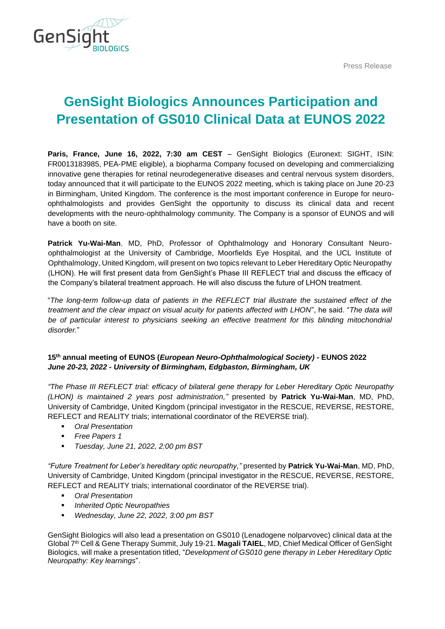Press Release



# **GenSight Biologics Announces Participation and Presentation of GS010 Clinical Data at EUNOS 2022**

**Paris, France, June 16, 2022, 7:30 am CEST** – GenSight Biologics (Euronext: SIGHT, ISIN: FR0013183985, PEA-PME eligible), a biopharma Company focused on developing and commercializing innovative gene therapies for retinal neurodegenerative diseases and central nervous system disorders, today announced that it will participate to the EUNOS 2022 meeting, which is taking place on June 20-23 in Birmingham, United Kingdom. The conference is the most important conference in Europe for neuroophthalmologists and provides GenSight the opportunity to discuss its clinical data and recent developments with the neuro-ophthalmology community. The Company is a sponsor of EUNOS and will have a booth on site.

**Patrick Yu-Wai-Man**, MD, PhD, Professor of Ophthalmology and Honorary Consultant Neuroophthalmologist at the University of Cambridge, Moorfields Eye Hospital, and the UCL Institute of Ophthalmology, United Kingdom, will present on two topics relevant to Leber Hereditary Optic Neuropathy (LHON). He will first present data from GenSight's Phase III REFLECT trial and discuss the efficacy of the Company's bilateral treatment approach. He will also discuss the future of LHON treatment.

"*The long-term follow-up data of patients in the REFLECT trial illustrate the sustained effect of the treatment and the clear impact on visual acuity for patients affected with LHON*", he said. "*The data will be of particular interest to physicians seeking an effective treatment for this blinding mitochondrial disorder.*"

## **15th annual meeting of EUNOS (***European Neuro-Ophthalmological Society)* **- EUNOS 2022** *June 20-23, 2022 - University of Birmingham, Edgbaston, Birmingham, UK*

*"The Phase III REFLECT trial: efficacy of bilateral gene therapy for Leber Hereditary Optic Neuropathy (LHON) is maintained 2 years post administration,"* presented by **Patrick Yu-Wai-Man**, MD, PhD, University of Cambridge, United Kingdom (principal investigator in the RESCUE, REVERSE, RESTORE, REFLECT and REALITY trials; international coordinator of the REVERSE trial).

- *Oral Presentation*
- **Free Papers 1**
- *Tuesday, June 21, 2022, 2:00 pm BST*

*"Future Treatment for Leber's hereditary optic neuropathy,"* presented by **Patrick Yu-Wai-Man**, MD, PhD, University of Cambridge, United Kingdom (principal investigator in the RESCUE, REVERSE, RESTORE, REFLECT and REALITY trials; international coordinator of the REVERSE trial).

- **Oral Presentation**
- *Inherited Optic Neuropathies*
- *Wednesday, June 22, 2022, 3:00 pm BST*

GenSight Biologics will also lead a presentation on GS010 (Lenadogene nolparvovec) clinical data at the Global 7th Cell & Gene Therapy Summit, July 19-21. **Magali TAIEL**, MD, Chief Medical Officer of GenSight Biologics, will make a presentation titled, "*Development of GS010 gene therapy in Leber Hereditary Optic Neuropathy: Key learnings*".